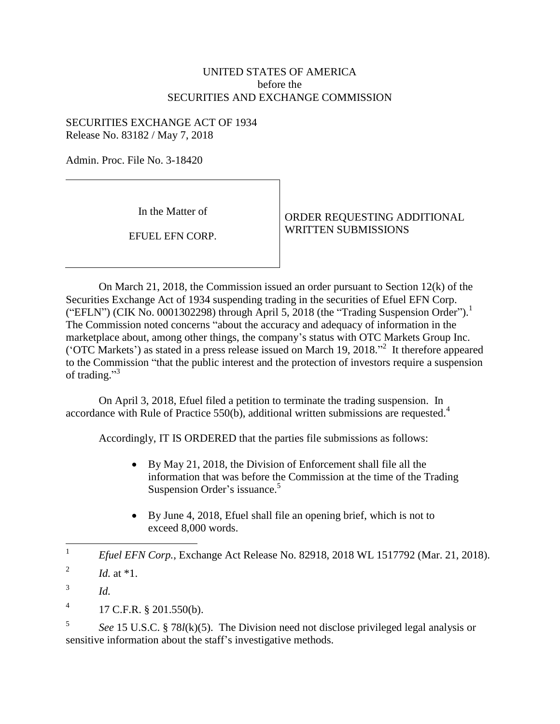## UNITED STATES OF AMERICA before the SECURITIES AND EXCHANGE COMMISSION

## SECURITIES EXCHANGE ACT OF 1934 Release No. 83182 / May 7, 2018

Admin. Proc. File No. 3-18420

In the Matter of

EFUEL EFN CORP.

ORDER REQUESTING ADDITIONAL WRITTEN SUBMISSIONS

On March 21, 2018, the Commission issued an order pursuant to Section 12(k) of the Securities Exchange Act of 1934 suspending trading in the securities of Efuel EFN Corp. ("EFLN") (CIK No. 0001302298) through April 5, 2018 (the "Trading Suspension Order").<sup>1</sup> The Commission noted concerns "about the accuracy and adequacy of information in the marketplace about, among other things, the company's status with OTC Markets Group Inc. ('OTC Markets') as stated in a press release issued on March 19, 2018." 2 It therefore appeared to the Commission "that the public interest and the protection of investors require a suspension of trading."<sup>3</sup>

On April 3, 2018, Efuel filed a petition to terminate the trading suspension. In accordance with Rule of Practice  $550(b)$ , additional written submissions are requested.<sup>4</sup>

Accordingly, IT IS ORDERED that the parties file submissions as follows:

- By May 21, 2018, the Division of Enforcement shall file all the information that was before the Commission at the time of the Trading Suspension Order's issuance.<sup>5</sup>
- By June 4, 2018, Efuel shall file an opening brief, which is not to exceed 8,000 words.

5 *See* 15 U.S.C. § 78*l*(k)(5). The Division need not disclose privileged legal analysis or sensitive information about the staff's investigative methods.

 $\frac{1}{1}$ *Efuel EFN Corp.*, Exchange Act Release No. 82918, 2018 WL 1517792 (Mar. 21, 2018).

<sup>2</sup> *Id.* at \*1.

<sup>3</sup> *Id.*

<sup>4</sup> 17 C.F.R. § 201.550(b).